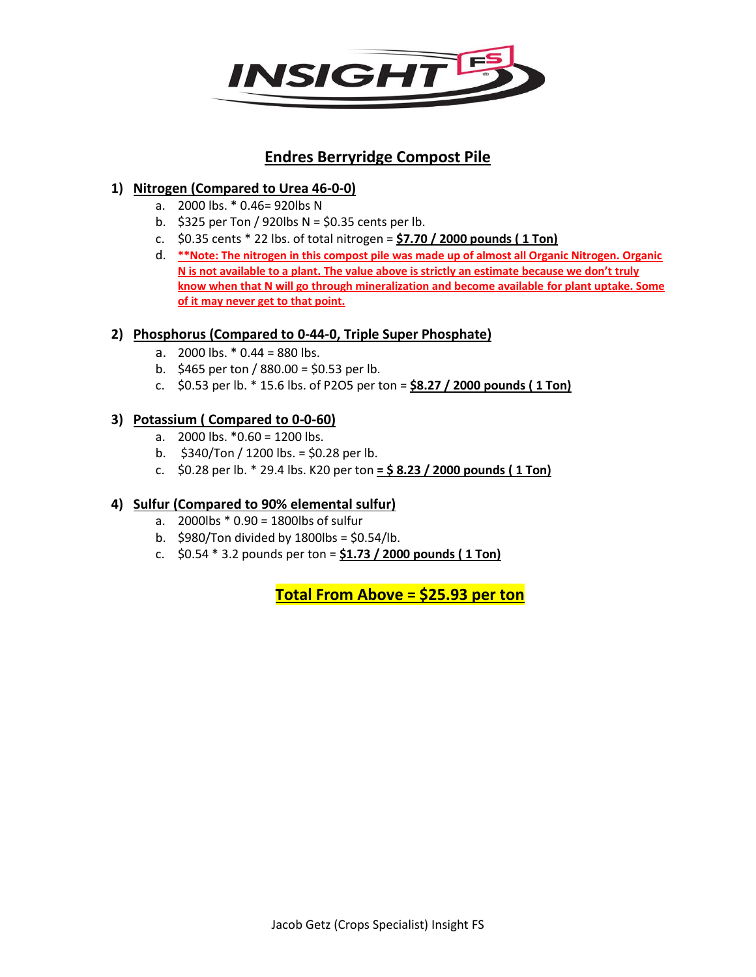

# **Endres Berryridge Compost Pile**

# **1) Nitrogen (Compared to Urea 46-0-0)**

- a. 2000 lbs. \* 0.46= 920lbs N
- b.  $$325$  per Ton / 920lbs N = \$0.35 cents per lb.
- c. \$0.35 cents \* 22 lbs. of total nitrogen = **\$7.70 / 2000 pounds ( 1 Ton)**
- d. **\*\*Note: The nitrogen in this compost pile was made up of almost all Organic Nitrogen. Organic N is not available to a plant. The value above is strictly an estimate because we don't truly know when that N will go through mineralization and become available for plant uptake. Some of it may never get to that point.**

#### **2) Phosphorus (Compared to 0-44-0, Triple Super Phosphate)**

- a.  $2000$  lbs.  $*$  0.44 = 880 lbs.
- b.  $$465$  per ton / 880.00 = \$0.53 per lb.
- c. \$0.53 per lb. \* 15.6 lbs. of P2O5 per ton = **\$8.27 / 2000 pounds ( 1 Ton)**

#### **3) Potassium ( Compared to 0-0-60)**

- a.  $2000$  lbs.  $*0.60 = 1200$  lbs.
- b.  $$340/T$ on / 1200 lbs. = \$0.28 per lb.
- c. \$0.28 per lb. \* 29.4 lbs. K20 per ton **= \$ 8.23 / 2000 pounds ( 1 Ton)**

## **4) Sulfur (Compared to 90% elemental sulfur)**

- a. 2000lbs \* 0.90 = 1800lbs of sulfur
- b.  $$980/T$ on divided by 1800lbs =  $$0.54/l$ b.
- c. \$0.54 \* 3.2 pounds per ton = **\$1.73 / 2000 pounds ( 1 Ton)**

**Total From Above = \$25.93 per ton**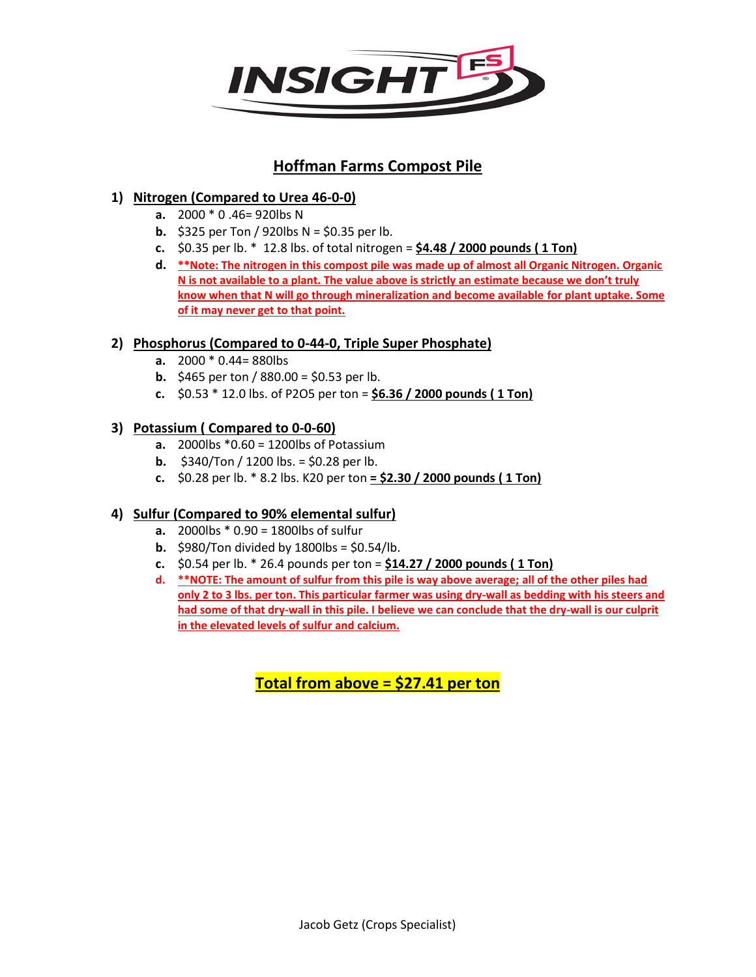

# **Hoffman Farms Compost Pile**

# **1) Nitrogen (Compared to Urea 46-0-0)**

- **a.** 2000 \* 0 .46= 920lbs N
- **b.** \$325 per Ton / 920lbs  $N = $0.35$  per lb.
- **c.** \$0.35 per lb. \* 12.8 lbs. of total nitrogen = **\$4.48 / 2000 pounds ( 1 Ton)**
- **d. \*\*Note: The nitrogen in this compost pile was made up of almost all Organic Nitrogen. Organic N is not available to a plant. The value above is strictly an estimate because we don't truly know when that N will go through mineralization and become available for plant uptake. Some of it may never get to that point.**

## **2) Phosphorus (Compared to 0-44-0, Triple Super Phosphate)**

- **a.** 2000 \* 0.44= 880lbs
- **b.** \$465 per ton / 880.00 = \$0.53 per lb.
- **c.** \$0.53 \* 12.0 lbs. of P2O5 per ton = **\$6.36 / 2000 pounds ( 1 Ton)**

# **3) Potassium ( Compared to 0-0-60)**

- **a.** 2000lbs \*0.60 = 1200lbs of Potassium
- **b.** \$340/Ton / 1200 lbs. = \$0.28 per lb.
- **c.** \$0.28 per lb. \* 8.2 lbs. K20 per ton **= \$2.30 / 2000 pounds ( 1 Ton)**

# **4) Sulfur (Compared to 90% elemental sulfur)**

- **a.** 2000lbs \* 0.90 = 1800lbs of sulfur
- **b.** \$980/Ton divided by 1800lbs = \$0.54/lb.
- **c.** \$0.54 per lb. \* 26.4 pounds per ton = **\$14.27 / 2000 pounds ( 1 Ton)**
- **d. \*\*NOTE: The amount of sulfur from this pile is way above average; all of the other piles had only 2 to 3 lbs. per ton. This particular farmer was using dry-wall as bedding with his steers and had some of that dry-wall in this pile. I believe we can conclude that the dry-wall is our culprit in the elevated levels of sulfur and calcium.**

**Total from above = \$27.41 per ton**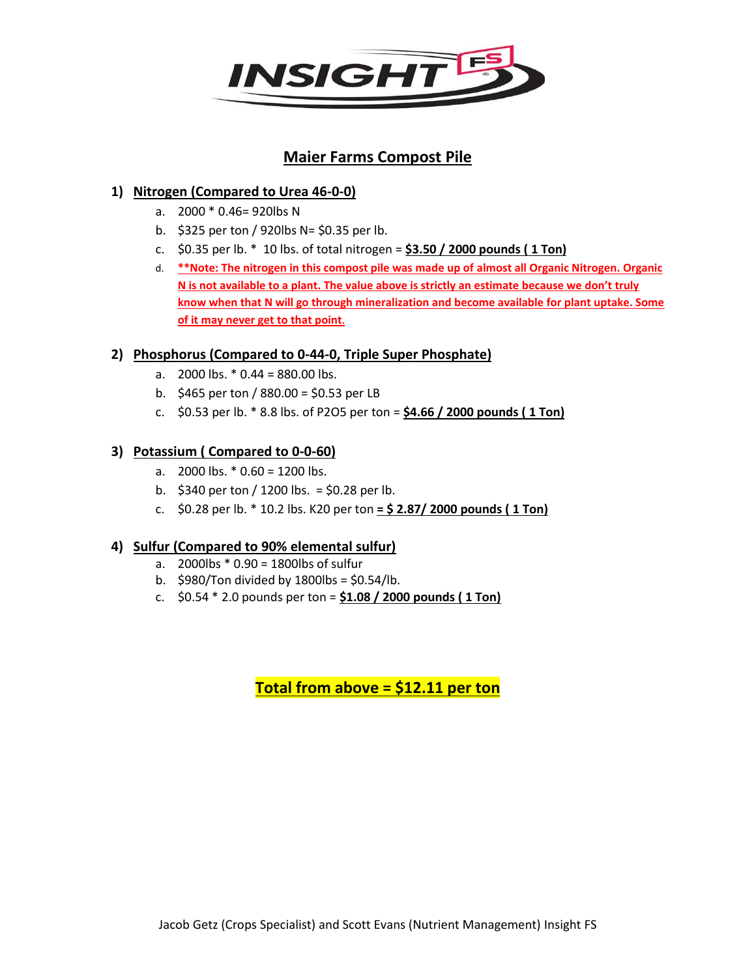

# **Maier Farms Compost Pile**

# **1) Nitrogen (Compared to Urea 46-0-0)**

- a. 2000 \* 0.46= 920lbs N
- b. \$325 per ton / 920lbs N= \$0.35 per lb.
- c. \$0.35 per lb. \* 10 lbs. of total nitrogen = **\$3.50 / 2000 pounds ( 1 Ton)**
- d. **\*\*Note: The nitrogen in this compost pile was made up of almost all Organic Nitrogen. Organic N is not available to a plant. The value above is strictly an estimate because we don't truly know when that N will go through mineralization and become available for plant uptake. Some of it may never get to that point.**

## **2) Phosphorus (Compared to 0-44-0, Triple Super Phosphate)**

- a.  $2000$  lbs.  $*$  0.44 = 880.00 lbs.
- b.  $$465$  per ton / 880.00 = \$0.53 per LB
- c. \$0.53 per lb. \* 8.8 lbs. of P2O5 per ton = **\$4.66 / 2000 pounds ( 1 Ton)**

## **3) Potassium ( Compared to 0-0-60)**

- a.  $2000$  lbs.  $*$  0.60 = 1200 lbs.
- b.  $$340$  per ton / 1200 lbs. = \$0.28 per lb.
- c. \$0.28 per lb. \* 10.2 lbs. K20 per ton **= \$ 2.87/ 2000 pounds ( 1 Ton)**

## **4) Sulfur (Compared to 90% elemental sulfur)**

- a. 2000lbs \* 0.90 = 1800lbs of sulfur
- b.  $$980/T$ on divided by 1800lbs =  $$0.54/l$ b.
- c. \$0.54 \* 2.0 pounds per ton = **\$1.08 / 2000 pounds ( 1 Ton)**

**Total from above = \$12.11 per ton**